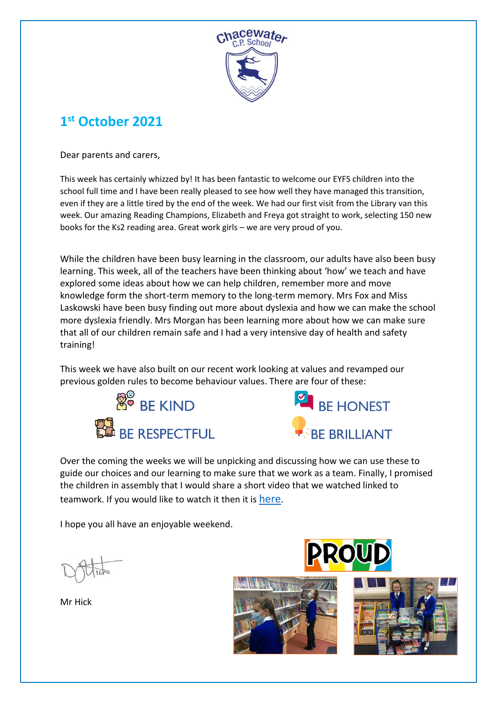

## **1 st October 2021**

Dear parents and carers,

This week has certainly whizzed by! It has been fantastic to welcome our EYFS children into the school full time and I have been really pleased to see how well they have managed this transition, even if they are a little tired by the end of the week. We had our first visit from the Library van this week. Our amazing Reading Champions, Elizabeth and Freya got straight to work, selecting 150 new books for the Ks2 reading area. Great work girls – we are very proud of you.

While the children have been busy learning in the classroom, our adults have also been busy learning. This week, all of the teachers have been thinking about 'how' we teach and have explored some ideas about how we can help children, remember more and move knowledge form the short-term memory to the long-term memory. Mrs Fox and Miss Laskowski have been busy finding out more about dyslexia and how we can make the school more dyslexia friendly. Mrs Morgan has been learning more about how we can make sure that all of our children remain safe and I had a very intensive day of health and safety training!

This week we have also built on our recent work looking at values and revamped our previous golden rules to become behaviour values. There are four of these:





Over the coming the weeks we will be unpicking and discussing how we can use these to guide our choices and our learning to make sure that we work as a team. Finally, I promised the children in assembly that I would share a short video that we watched linked to teamwork. If you would like to watch it then it is [here](https://www.youtube.com/watch?v=4duPBWzf46E).

I hope you all have an enjoyable weekend.

Mr Hick





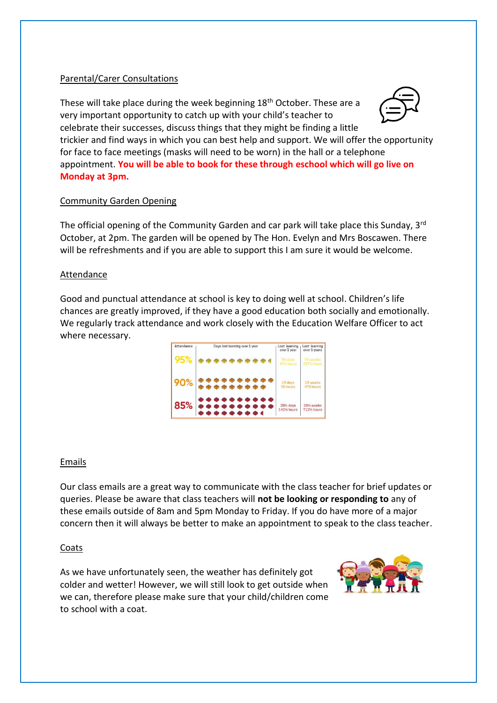#### Parental/Carer Consultations

These will take place during the week beginning 18th October. These are a very important opportunity to catch up with your child's teacher to celebrate their successes, discuss things that they might be finding a little



trickier and find ways in which you can best help and support. We will offer the opportunity for face to face meetings (masks will need to be worn) in the hall or a telephone appointment. **You will be able to book for these through eschool which will go live on Monday at 3pm.**

#### Community Garden Opening

The official opening of the Community Garden and car park will take place this Sunday, 3rd October, at 2pm. The garden will be opened by The Hon. Evelyn and Mrs Boscawen. There will be refreshments and if you are able to support this I am sure it would be welcome.

#### Attendance

Good and punctual attendance at school is key to doing well at school. Children's life chances are greatly improved, if they have a good education both socially and emotionally. We regularly track attendance and work closely with the Education Welfare Officer to act where necessary.

| Attendance | Days lost learning over 1 year | Lost learning<br>over 1 year   | Lost learning<br>over 5 years       |
|------------|--------------------------------|--------------------------------|-------------------------------------|
| 95%        |                                | 9% days<br>47% hours           | 9% weeks<br>2371/2 hours            |
| 90%        |                                | 19 days<br>95 hours            | 19 weeks<br>475 hours               |
| 85%        | ***********<br>**********      | 281% days<br><b>142% hours</b> | 28% weeks<br>712 <sup>1</sup> hours |

#### Emails

Our class emails are a great way to communicate with the class teacher for brief updates or queries. Please be aware that class teachers will **not be looking or responding to** any of these emails outside of 8am and 5pm Monday to Friday. If you do have more of a major concern then it will always be better to make an appointment to speak to the class teacher.

#### Coats

As we have unfortunately seen, the weather has definitely got colder and wetter! However, we will still look to get outside when we can, therefore please make sure that your child/children come to school with a coat.

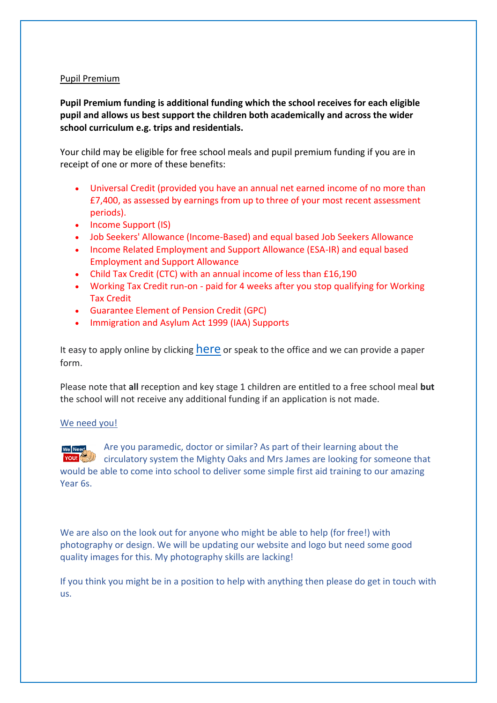#### Pupil Premium

**Pupil Premium funding is additional funding which the school receives for each eligible pupil and allows us best support the children both academically and across the wider school curriculum e.g. trips and residentials.**

Your child may be eligible for free school meals and pupil premium funding if you are in receipt of one or more of these benefits:

- Universal Credit (provided you have an annual net earned income of no more than £7,400, as assessed by earnings from up to three of your most recent assessment periods).
- Income Support (IS)
- Job Seekers' Allowance (Income-Based) and equal based Job Seekers Allowance
- Income Related Employment and Support Allowance (ESA-IR) and equal based Employment and Support Allowance
- Child Tax Credit (CTC) with an annual income of less than £16,190
- Working Tax Credit run-on paid for 4 weeks after you stop qualifying for Working Tax Credit
- Guarantee Element of Pension Credit (GPC)
- Immigration and Asylum Act 1999 (IAA) Supports

It easy to apply online by clicking **[here](https://www.cornwall.gov.uk/schools-and-education/schools-and-colleges/school-meals/apply-for-free-school-meals-and-pupil-premium/)** or speak to the office and we can provide a paper form.

Please note that **all** reception and key stage 1 children are entitled to a free school meal **but** the school will not receive any additional funding if an application is not made.

#### We need you!

Are you paramedic, doctor or similar? As part of their learning about the circulatory system the Mighty Oaks and Mrs James are looking for someone that would be able to come into school to deliver some simple first aid training to our amazing Year 6s.

We are also on the look out for anyone who might be able to help (for free!) with photography or design. We will be updating our website and logo but need some good quality images for this. My photography skills are lacking!

If you think you might be in a position to help with anything then please do get in touch with us.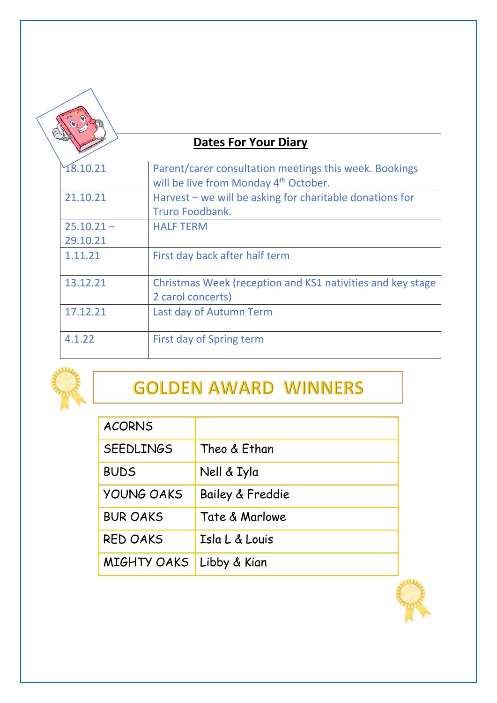## **Dates For Your Diary**

| 18.10.21                 | Parent/carer consultation meetings this week. Bookings<br>will be live from Monday 4 <sup>th</sup> October. |
|--------------------------|-------------------------------------------------------------------------------------------------------------|
| 21.10.21                 | Harvest $-$ we will be asking for charitable donations for<br>Truro Foodbank.                               |
| $25.10.21 -$<br>29.10.21 | <b>HALF TERM</b>                                                                                            |
| 1.11.21                  | First day back after half term                                                                              |
| 13.12.21                 | Christmas Week (reception and KS1 nativities and key stage<br>2 carol concerts)                             |
| 17.12.21                 | Last day of Autumn Term                                                                                     |
| 4.1.22                   | First day of Spring term                                                                                    |



# **GOLDEN AWARD WINNERS**

| <b>ACORNS</b>     |                  |
|-------------------|------------------|
| <b>SEEDLINGS</b>  | Theo & Ethan     |
| <b>BUDS</b>       | Nell & Iyla      |
| <b>YOUNG OAKS</b> | Bailey & Freddie |
| <b>BUR OAKS</b>   | Tate & Marlowe   |
| <b>RED OAKS</b>   | Isla L & Louis   |
| MIGHTY OAKS       | Libby & Kian     |